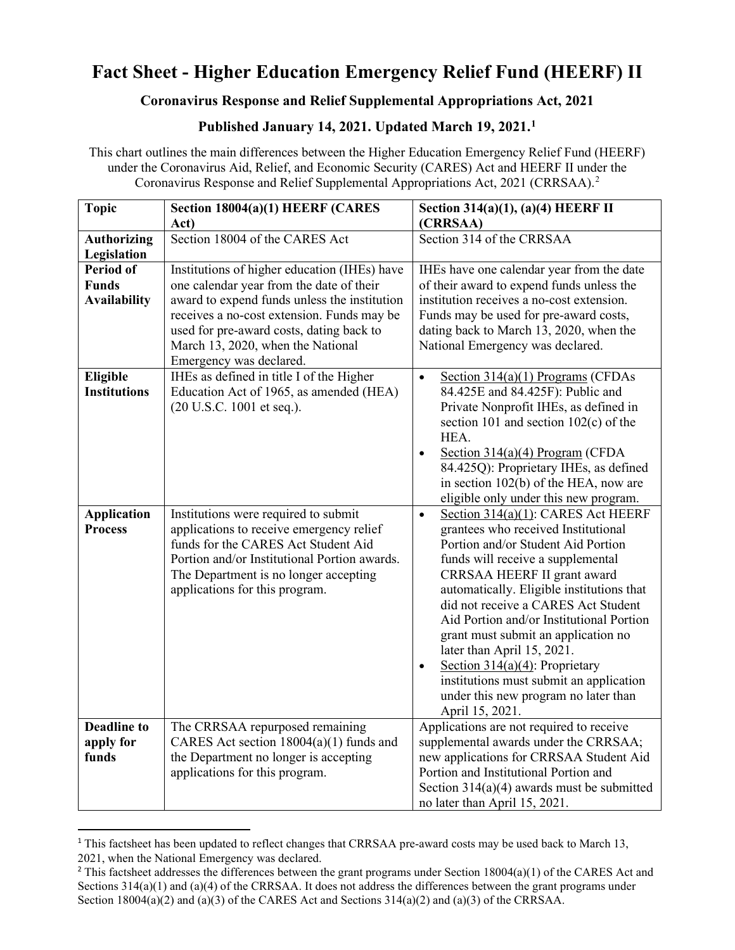## **Fact Sheet - Higher Education Emergency Relief Fund (HEERF) II**

## **Coronavirus Response and Relief Supplemental Appropriations Act, 2021**

## **Published January 14, 2021. Updated March 19, 2021.[1](#page-0-0)**

This chart outlines the main differences between the Higher Education Emergency Relief Fund (HEERF) under the Coronavirus Aid, Relief, and Economic Security (CARES) Act and HEERF II under the Coronavirus Response and Relief Supplemental Appropriations Act, 2021 (CRRSAA). [2](#page-0-1)

| <b>Topic</b>        | Section 18004(a)(1) HEERF (CARES                                           | Section 314(a)(1), (a)(4) HEERF II                                                |
|---------------------|----------------------------------------------------------------------------|-----------------------------------------------------------------------------------|
|                     | Act)                                                                       | (CRRSAA)                                                                          |
| <b>Authorizing</b>  | Section 18004 of the CARES Act                                             | Section 314 of the CRRSAA                                                         |
| Legislation         |                                                                            |                                                                                   |
| <b>Period of</b>    | Institutions of higher education (IHEs) have                               | IHEs have one calendar year from the date                                         |
| <b>Funds</b>        | one calendar year from the date of their                                   | of their award to expend funds unless the                                         |
| <b>Availability</b> | award to expend funds unless the institution                               | institution receives a no-cost extension.                                         |
|                     | receives a no-cost extension. Funds may be                                 | Funds may be used for pre-award costs,                                            |
|                     | used for pre-award costs, dating back to                                   | dating back to March 13, 2020, when the                                           |
|                     | March 13, 2020, when the National                                          | National Emergency was declared.                                                  |
|                     | Emergency was declared.                                                    |                                                                                   |
| Eligible            | IHEs as defined in title I of the Higher                                   | Section $314(a)(1)$ Programs (CFDAs<br>$\bullet$                                  |
| <b>Institutions</b> | Education Act of 1965, as amended (HEA)                                    | 84.425E and 84.425F): Public and                                                  |
|                     | (20 U.S.C. 1001 et seq.).                                                  | Private Nonprofit IHEs, as defined in                                             |
|                     |                                                                            | section 101 and section $102(c)$ of the                                           |
|                     |                                                                            | HEA.                                                                              |
|                     |                                                                            | Section $314(a)(4)$ Program (CFDA<br>$\bullet$                                    |
|                     |                                                                            | 84.425Q): Proprietary IHEs, as defined                                            |
|                     |                                                                            | in section 102(b) of the HEA, now are                                             |
|                     |                                                                            | eligible only under this new program.                                             |
| <b>Application</b>  | Institutions were required to submit                                       | Section $314(a)(1)$ : CARES Act HEERF<br>$\bullet$                                |
| <b>Process</b>      | applications to receive emergency relief                                   | grantees who received Institutional                                               |
|                     | funds for the CARES Act Student Aid                                        | Portion and/or Student Aid Portion                                                |
|                     | Portion and/or Institutional Portion awards.                               | funds will receive a supplemental                                                 |
|                     | The Department is no longer accepting                                      | CRRSAA HEERF II grant award                                                       |
|                     | applications for this program.                                             | automatically. Eligible institutions that                                         |
|                     |                                                                            | did not receive a CARES Act Student                                               |
|                     |                                                                            | Aid Portion and/or Institutional Portion                                          |
|                     |                                                                            | grant must submit an application no                                               |
|                     |                                                                            | later than April 15, 2021.                                                        |
|                     |                                                                            | Section $314(a)(4)$ : Proprietary<br>$\bullet$                                    |
|                     |                                                                            | institutions must submit an application                                           |
|                     |                                                                            | under this new program no later than                                              |
| <b>Deadline to</b>  |                                                                            | April 15, 2021.                                                                   |
| apply for           | The CRRSAA repurposed remaining<br>CARES Act section 18004(a)(1) funds and | Applications are not required to receive<br>supplemental awards under the CRRSAA; |
| funds               | the Department no longer is accepting                                      | new applications for CRRSAA Student Aid                                           |
|                     | applications for this program.                                             | Portion and Institutional Portion and                                             |
|                     |                                                                            | Section $314(a)(4)$ awards must be submitted                                      |
|                     |                                                                            | no later than April 15, 2021.                                                     |
|                     |                                                                            |                                                                                   |

<span id="page-0-0"></span><sup>1</sup> This factsheet has been updated to reflect changes that CRRSAA pre-award costs may be used back to March 13, 2021, when the National Emergency was declared.

<span id="page-0-1"></span><sup>&</sup>lt;sup>2</sup> This factsheet addresses the differences between the grant programs under Section  $18004(a)(1)$  of the CARES Act and Sections  $314(a)(1)$  and  $(a)(4)$  of the CRRSAA. It does not address the differences between the grant programs under Section  $18004(a)(2)$  and  $(a)(3)$  of the CARES Act and Sections  $314(a)(2)$  and  $(a)(3)$  of the CRRSAA.